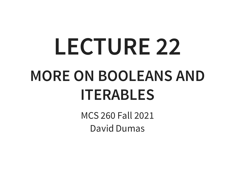# **LECTURE 22 MORE ON BOOLEANS AND ITERABLES**

MCS 260 Fall 2021 David Dumas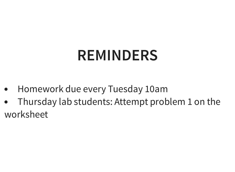#### **REMINDERS**

- Homework due every Tuesday 10am
- Thursday lab students: Attempt problem 1 on the worksheet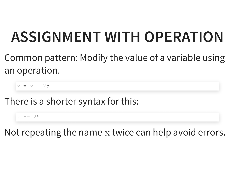#### **ASSIGNMENT WITH OPERATION**

Common pattern: Modify the value of a variable using an operation.

 $x = x + 25$ 

There is a shorter syntax for this:

 $x + = 25$ 

Not repeating the name  $x$  twice can help avoid errors.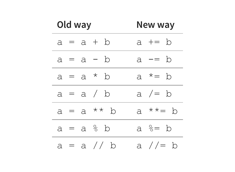| Old way       | New way                         |
|---------------|---------------------------------|
| $a = a + b$   | a += b                          |
| $a = a - b$   | $a = b$                         |
| $a = a * b$   | a $* = b$                       |
| $a = a / b$   | a $/=$ b                        |
| $a = a * * b$ | a $**=$ b                       |
| $a = a % b$   | a $\textdegree = \textdegree b$ |
| $a = a$ // b  | a $/$ / = b                     |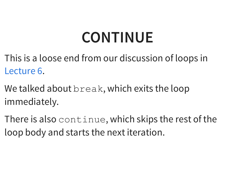### **CONTINUE**

This is a loose end from our discussion of loops in . [Lecture](https://dumas.io/teaching/2021/fall/mcs260/slides/lecture6.html) 6

We talked about break, which exits the loop immediately.

There is also continue, which skips the rest of the loop body and starts the next iteration.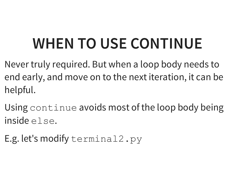## **WHEN TO USE CONTINUE**

- Never truly required. But when a loop body needs to end early, and move on to the next iteration, it can be helpful.
- Using continue avoids most of the loop body being inside else.
- E.g. let's modify terminal2.py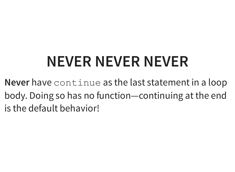## **NEVER NEVER NEVER**

**Never** have continue as the last statement in a loop body. Doing so has no function—continuing at the end is the default behavior!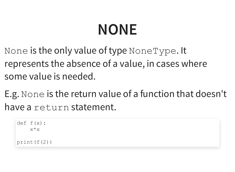## **NONE**

None is the only value of type NoneType. It represents the absence of a value, in cases where some value is needed.

E.g. None is the return value of a function that doesn't have a return statement.

```
def f(x):
    x*x
print(f(2))
```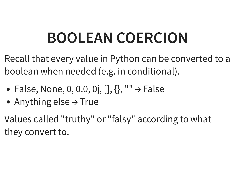## **BOOLEAN COERCION**

Recall that every value in Python can be converted to a boolean when needed (e.g. in conditional).

- False, None, 0, 0.0, 0j,  $[]$ ,  $]$ , ""  $\rightarrow$  False
- Anything else  $\rightarrow$  True

Values called "truthy" or "falsy" according to what they convert to.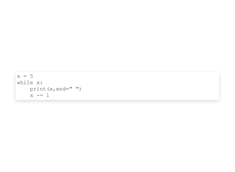```
x = 5while x:
    print(x,end=" ")
    x \rightarrow -1
```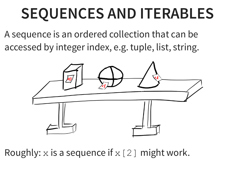#### **SEQUENCES AND ITERABLES**

A sequence is an ordered collection that can be accessed by integer index, e.g. tuple, list, string.



Roughly: x is a sequence if  $x[2]$  might work.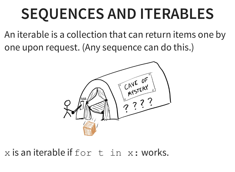#### **SEQUENCES AND ITERABLES**

An iterable is a collection that can return items one by one upon request. (Any sequence can do this.)



 $x$  is an iterable if  $for$   $t$  in  $x:$  works.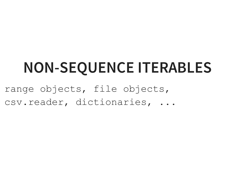#### **NON-SEQUENCE ITERABLES**

range objects, file objects, csv.reader, dictionaries, ...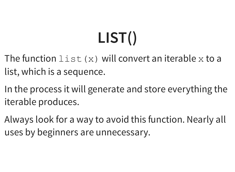# **LIST()**

- The function  $list(x)$  will convert an iterable x to a list, which is a sequence.
- In the process it will generate and store everything the iterable produces.
- Always look for a way to avoid this function. Nearly all uses by beginners are unnecessary.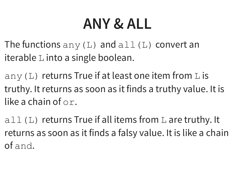#### **ANY & ALL**

The functions  $\text{any}(L)$  and  $\text{all}(L)$  convert an iterable L into a single boolean.

any (L) returns True if at least one item from L is truthy. It returns as soon as it finds a truthy value. It is like a chain of or.

 $a11(L)$  returns True if all items from L are truthy. It returns as soon as it finds a falsy value. It is like a chain of and.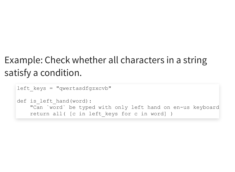#### Example: Check whether all characters in a string satisfy a condition.

```
left keys = "qwertasdfgzxcvb"
def is left hand(word):
    "Can `word` be typed with only left hand on en-us keyboard
    return all( [c in left_keys for c in word] )
```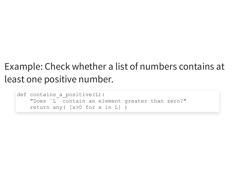#### Example: Check whether a list of numbers contains at least one positive number.

```
def contains a positive(L):
    "Does `L` contain an element greater than zero?"
    return any( [x>0 for x in L] )
```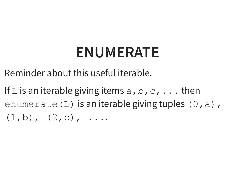#### **ENUMERATE**

Reminder about this useful iterable.

If L is an iterable giving items  $a, b, c, \ldots$  then enumerate (L) is an iterable giving tuples  $(0, a)$ ,  $(1,b)$ ,  $(2,c)$ , ....